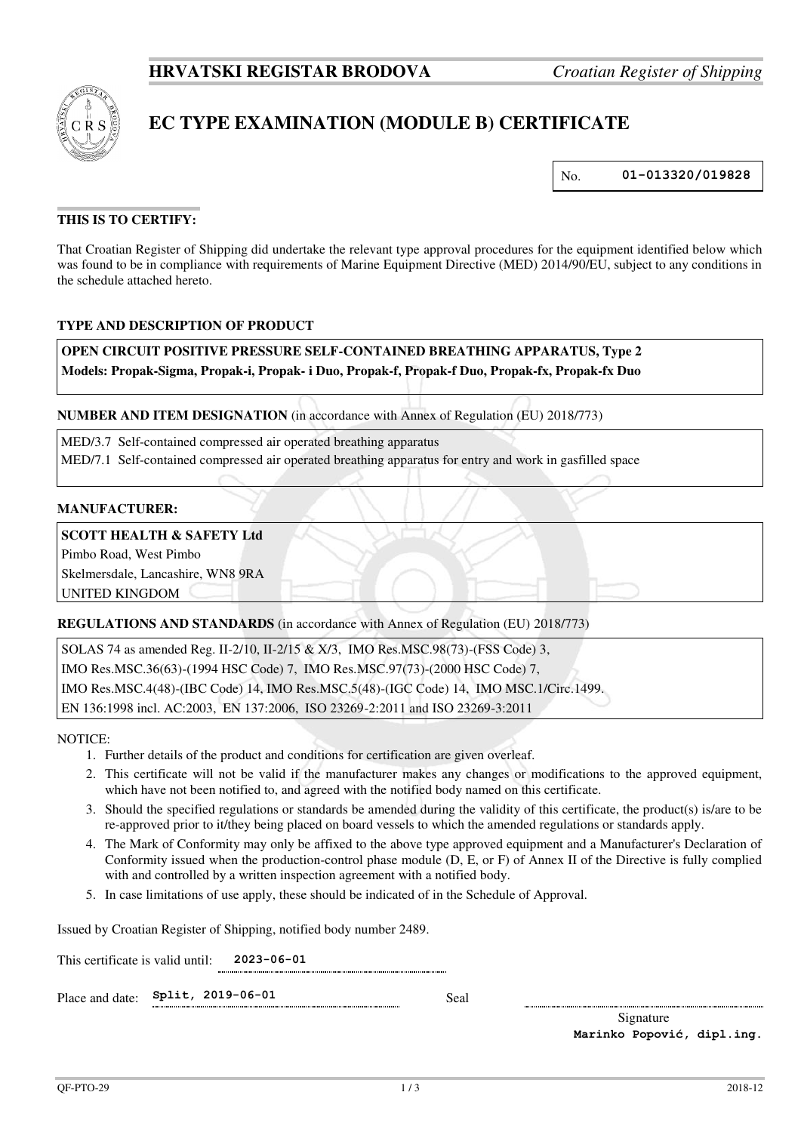

# **EC TYPE EXAMINATION (MODULE B) CERTIFICATE**

No. **01-013320/019828**

# **THIS IS TO CERTIFY:**

That Croatian Register of Shipping did undertake the relevant type approval procedures for the equipment identified below which was found to be in compliance with requirements of Marine Equipment Directive (MED) 2014/90/EU, subject to any conditions in the schedule attached hereto.

### **TYPE AND DESCRIPTION OF PRODUCT**

**OPEN CIRCUIT POSITIVE PRESSURE SELF-CONTAINED BREATHING APPARATUS, Type 2 Models: Propak-Sigma, Propak-i, Propak- i Duo, Propak-f, Propak-f Duo, Propak-fx, Propak-fx Duo** 

### **NUMBER AND ITEM DESIGNATION** (in accordance with Annex of Regulation (EU) 2018/773)

 MED/3.7 Self-contained compressed air operated breathing apparatus MED/7.1 Self-contained compressed air operated breathing apparatus for entry and work in gasfilled space

#### **MANUFACTURER:**

#### **SCOTT HEALTH & SAFETY Ltd**

Pimbo Road, West Pimbo

Skelmersdale, Lancashire, WN8 9RA

UNITED KINGDOM

#### **REGULATIONS AND STANDARDS** (in accordance with Annex of Regulation (EU) 2018/773)

SOLAS 74 as amended Reg. II-2/10, II-2/15 & X/3, IMO Res.MSC.98(73)-(FSS Code) 3, IMO Res.MSC.36(63)-(1994 HSC Code) 7, IMO Res.MSC.97(73)-(2000 HSC Code) 7, IMO Res.MSC.4(48)-(IBC Code) 14, IMO Res.MSC.5(48)-(IGC Code) 14, IMO MSC.1/Circ.1499. EN 136:1998 incl. AC:2003, EN 137:2006, ISO 23269-2:2011 and ISO 23269-3:2011

NOTICE:

- 1. Further details of the product and conditions for certification are given overleaf.
- 2. This certificate will not be valid if the manufacturer makes any changes or modifications to the approved equipment, which have not been notified to, and agreed with the notified body named on this certificate.
- 3. Should the specified regulations or standards be amended during the validity of this certificate, the product(s) is/are to be re-approved prior to it/they being placed on board vessels to which the amended regulations or standards apply.
- 4. The Mark of Conformity may only be affixed to the above type approved equipment and a Manufacturer's Declaration of Conformity issued when the production-control phase module (D, E, or F) of Annex II of the Directive is fully complied with and controlled by a written inspection agreement with a notified body.
- 5. In case limitations of use apply, these should be indicated of in the Schedule of Approval.

Issued by Croatian Register of Shipping, notified body number 2489.

This certificate is valid until: **2023-06-01** 

Place and date: **Split, 2019-06-01** Seal

Signature **Marinko Popović, dipl.ing.**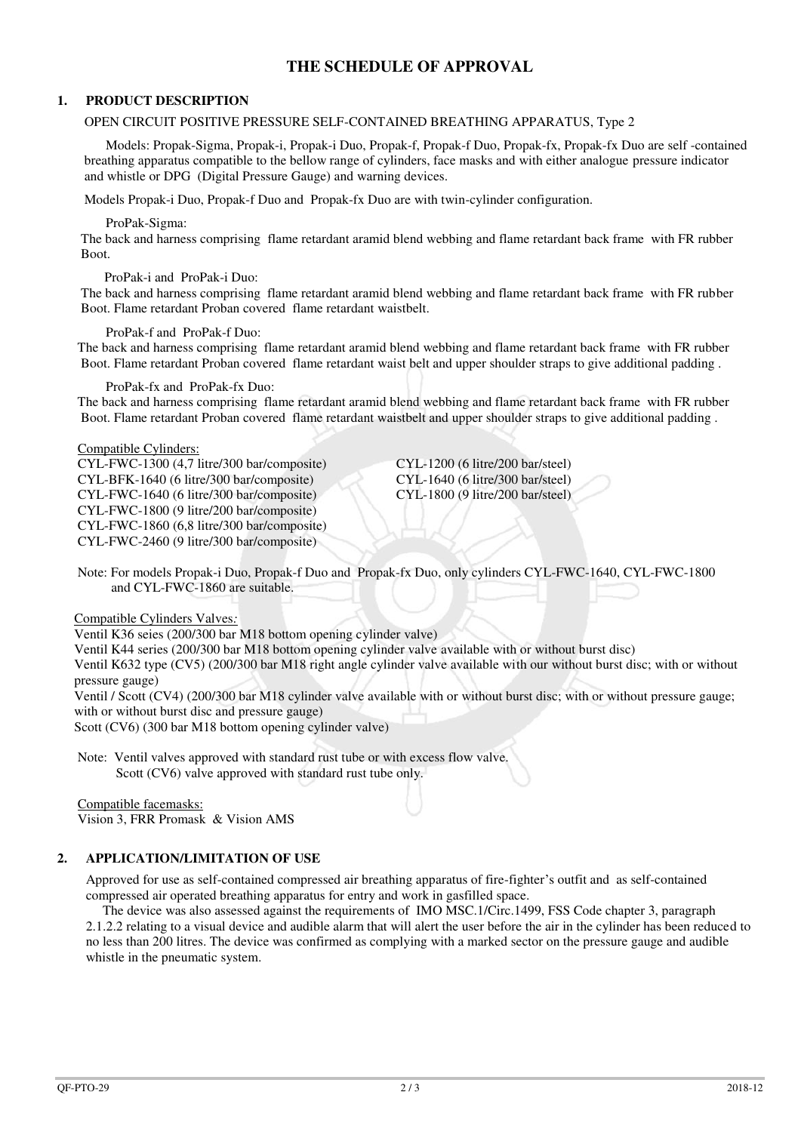# **THE SCHEDULE OF APPROVAL**

### **1. PRODUCT DESCRIPTION**

#### OPEN CIRCUIT POSITIVE PRESSURE SELF-CONTAINED BREATHING APPARATUS, Type 2

 Models: Propak-Sigma, Propak-i, Propak-i Duo, Propak-f, Propak-f Duo, Propak-fx, Propak-fx Duo are self -contained breathing apparatus compatible to the bellow range of cylinders, face masks and with either analogue pressure indicator and whistle or DPG (Digital Pressure Gauge) and warning devices.

Models Propak-i Duo, Propak-f Duo and Propak-fx Duo are with twin-cylinder configuration.

ProPak-Sigma:

 The back and harness comprising flame retardant aramid blend webbing and flame retardant back frame with FR rubber **Boot**.

#### ProPak-i and ProPak-i Duo:

 The back and harness comprising flame retardant aramid blend webbing and flame retardant back frame with FR rubber Boot. Flame retardant Proban covered flame retardant waistbelt.

#### ProPak-f and ProPak-f Duo:

 The back and harness comprising flame retardant aramid blend webbing and flame retardant back frame with FR rubber Boot. Flame retardant Proban covered flame retardant waist belt and upper shoulder straps to give additional padding .

ProPak-fx and ProPak-fx Duo:

 The back and harness comprising flame retardant aramid blend webbing and flame retardant back frame with FR rubber Boot. Flame retardant Proban covered flame retardant waistbelt and upper shoulder straps to give additional padding .

#### Compatible Cylinders:

 CYL-FWC-1300 (4,7 litre/300 bar/composite) CYL-1200 (6 litre/200 bar/steel) CYL-BFK-1640 (6 litre/300 bar/composite) CYL-1640 (6 litre/300 bar/steel)  $CYL-FWC-1640$  (6 litre/300 bar/composite) CYL-FWC-1800 (9 litre/200 bar/composite) CYL-FWC-1860 (6,8 litre/300 bar/composite) CYL-FWC-2460 (9 litre/300 bar/composite)

 Note: For models Propak-i Duo, Propak-f Duo and Propak-fx Duo, only cylinders CYL-FWC-1640, CYL-FWC-1800 and CYL-FWC-1860 are suitable.

Compatible Cylinders Valves*:* 

Ventil K36 seies (200/300 bar M18 bottom opening cylinder valve)

Ventil K44 series (200/300 bar M18 bottom opening cylinder valve available with or without burst disc)

 Ventil K632 type (CV5) (200/300 bar M18 right angle cylinder valve available with our without burst disc; with or without pressure gauge)

 Ventil / Scott (CV4) (200/300 bar M18 cylinder valve available with or without burst disc; with or without pressure gauge; with or without burst disc and pressure gauge)

Scott (CV6) (300 bar M18 bottom opening cylinder valve)

 Note: Ventil valves approved with standard rust tube or with excess flow valve. Scott (CV6) valve approved with standard rust tube only.

Compatible facemasks: Vision 3, FRR Promask & Vision AMS

# **2. APPLICATION/LIMITATION OF USE**

Approved for use as self-contained compressed air breathing apparatus of fire-fighter's outfit and as self-contained compressed air operated breathing apparatus for entry and work in gasfilled space.

 The device was also assessed against the requirements of IMO MSC.1/Circ.1499, FSS Code chapter 3, paragraph 2.1.2.2 relating to a visual device and audible alarm that will alert the user before the air in the cylinder has been reduced to no less than 200 litres. The device was confirmed as complying with a marked sector on the pressure gauge and audible whistle in the pneumatic system.